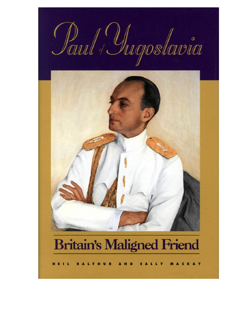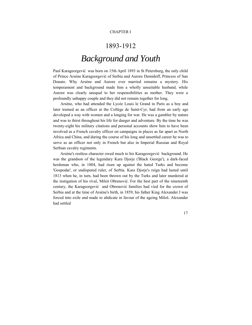## CHAPTER I

## 1893-1912

## *Background and Youth*

Paul Karageorgević was born on 15th April 1893 in St Petersburg, the only child of Prince Arsène Karageorgević of Serbia and Aurore Demidoff, Princess of San Donato. Why Arsène and Aurore ever married remains a mystery. His temperament and background made him a wholly unsuitable husband, while Aurore was clearly unequal to her responsibilities as mother. They were a profoundly unhappy couple and they did not remain together for long.

Arsène, who had attended the Lycée Louis le Grand in Paris as a boy and later trained as an officer at the Collège de Saint-Cyr, had from an early age developed a way with women and a longing for war. He was a gambler by nature and was to thirst throughout his life for danger and adventure. By the time he was twenty-eight his military citations and personal accounts show him to have been involved as a French cavalry officer on campaigns in places as far apart as North Africa and China, and during the course of his long and unsettled career he was to serve as an officer not only in French but also in Imperial Russian and Royal Serbian cavalry regiments.

Arsène's restless character owed much to his Karageorgević background. He was the grandson of the legendary Kara Djorje ('Black George'), a dark-faced herdsman who, in 1804, had risen up against the hated Turks and become 'Gospodar', or undisputed ruler, of Serbia. Kara Djorje's reign had lasted until 1813 when he, in turn, had been thrown out by the Turks and later murdered at the instigation of his rival, Miloš Obrenović. For the best part of the nineteenth century, the Karageorgević and Obrenović families had vied for the crown of Serbia and at the time of Arsène's birth, in 1859, his father King Alexander I was forced into exile and made to abdicate in favour of the ageing Miloš. Alexander had settled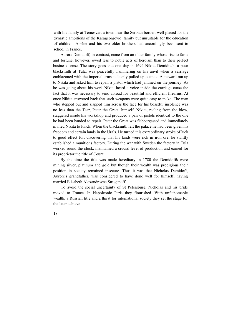with his family at Temesvar, a town near the Serbian border, well placed for the dynastic ambitions of the Karageorgević family but unsuitable for the education of children. Arsène and his two older brothers had accordingly been sent to school in France.

Aurore Demidoff, in contrast, came from an older family whose rise to fame and fortune, however, owed less to noble acts of heroism than to their perfect business sense. The story goes that one day in 1694 Nikita Demiditch, a poor blacksmith at Tula, was peacefully hammering on his anvil when a carriage emblazoned with the imperial arms suddenly pulled up outside. A steward ran up to Nikita and asked him to repair a pistol which had jammed on the journey. As he was going about his work Nikita heard a voice inside the carriage curse the fact that it was necessary to send abroad for beautiful and efficient firearms. At once Nikita answered back that such weapons were quite easy to make. The man who stepped out and slapped him across the face for his boastful insolence was no less than the Tsar, Peter the Great, himself. Nikita, reeling from the blow, staggered inside his workshop and produced a pair of pistols identical to the one he had been handed to repair. Peter the Great was flabbergasted and immediately invited Nikita to lunch. When the blacksmith left the palace he had been given his freedom and certain lands in the Urals. He turned this extraordinary stroke of luck to good effect for, discovering that his lands were rich in iron ore, he swiftly established a munitions factory. During the war with Sweden the factory in Tula worked round the clock, maintained a crucial level of production and earned for its proprietor the title of Count.

By the time the title was made hereditary in 1780 the Demidoffs were mining silver, platinum and gold but though their wealth was prodigious their position in society remained insecure. Thus it was that Nicholas Demidoff, Aurore's grandfather, was considered to have done well for himself, having married Elisabeth Alexandrovna Stroganoff.

To avoid the social uncertainty of St Petersburg, Nicholas and his bride moved to France. In Napoleonic Paris they flourished. With unfathomable wealth, a Russian title and a thirst for international society they set the stage for the later achieve-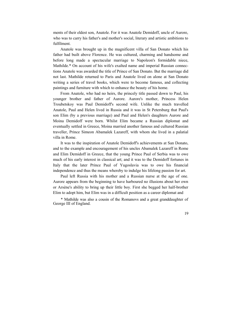ments of their eldest son, Anatole. For it was Anatole Demidoff, uncle of Aurore, who was to carry his father's and mother's social, literary and artistic ambitions to fulfilment.

Anatole was brought up in the magnificent villa of San Donato which his father had built above Florence. He was cultured, charming and handsome and before long made a spectacular marriage to Napoleon's formidable niece, Mathilde.\* On account of his wife's exalted name and imperial Russian connections Anatole was awarded the title of Prince of San Donato. But the marriage did not last. Mathilde returned to Paris and Anatole lived on alone at San Donato writing a series of travel books, which were to become famous, and collecting paintings and furniture with which to enhance the beauty of his home.

From Anatole, who had no heirs, the princely title passed down to Paul, his younger brother and father of Aurore. Aurore's mother, Princess Helen Troubetskoy was Paul Demidoff's second wife. Unlike the much travelled Anatole, Paul and Helen lived in Russia and it was in St Petersburg that Paul's son Elim (by a previous marriage) and Paul and Helen's daughters Aurore and Moina Demidoff were born. Whilst Elim became a Russian diplomat and eventually settled in Greece, Moina married another famous and cultured Russian traveller, Prince Simeon Abamalek Lazareff, with whom she lived in a palatial villa in Rome.

It was to the inspiration of Anatole Demidoff's achievements at San Donato, and to the example and encouragement of his uncles Abamalek Lazareff in Rome and Elim Demidoff in Greece, that the young Prince Paul of Serbia was to owe much of his early interest in classical art; and it was to the Demidoff fortunes in Italy that the later Prince Paul of Yugoslavia was to owe his financial independence and thus the means whereby to indulge his lifelong passion for art.

Paul left Russia with his mother and a Russian nurse at the age of one. Aurore appears from the beginning to have harboured no illusions about her own or Arsène's ability to bring up their little boy. First she begged her half-brother Elim to adopt him, but Elim was in a difficult position as a career diplomat and

\* Mathilde was also a cousin of the Romanovs and a great granddaughter of George III of England.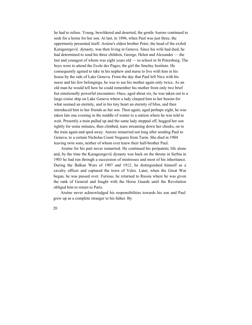he had to refuse. Young, bewildered and deserted, the gentle Aurore continued to seek for a home for her son. At last, in 1896, when Paul was just three, the opportunity presented itself. Arsène's eldest brother Peter, the head of the exiled Karageorgević dynasty, was then living in Geneva. Since his wife had died, he had determined to send his three children, George, Helen and Alexander — the last and youngest of whom was eight years old — to school in St Petersburg. The boys were to attend the Ecole des Pages; the girl the Smolny Institute. He consequently agreed to take in his nephew and nurse to live with him in his house by the side of Lake Geneva. From the day that Paul left Nice with his nurse and his few belongings, he was to see his mother again only twice. As an old man he would tell how he could remember his mother from only two brief but emotionally powerful encounters. Once, aged about six, he was taken out to a large cruise ship on Lake Geneva where a lady clasped him to her bosom for what seemed an eternity, and in his tiny heart an eternity of bliss, and then introduced him to her friends as her son. Then again, aged perhaps eight, he was taken late one evening in the middle of winter to a station where he was told to wait. Presently a train pulled up and the same lady stepped off, hugged her son tightly for some minutes, then climbed, tears streaming down her cheeks, on to the train again and sped away. Aurore remarried not long after sending Paul to Geneva, to a certain Nicholas Count Noguera from Turin. She died in 1904 leaving twin sons, neither of whom ever knew their half-brother Paul.

Arsène for his part never remarried. He continued his peripatetic life alone and, by the time the Karageorgević dynasty was back on the throne in Serbia in 1903 he had run through a succession of mistresses and most of his inheritance. During the Balkan Wars of 1907 and 1912, he distinguished himself as a cavalry officer and captured the town of Veles. Later, when the Great War began, he was passed over. Furious, he returned to Russia where he was given the rank of General and fought with the Horse Guards until the Revolution obliged him to return to Paris.

Arsène never acknowledged his responsibilities towards his son and Paul grew up as a complete stranger to his father. By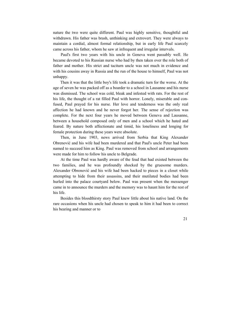nature the two were quite different. Paul was highly sensitive, thoughtful and withdrawn. His father was brash, unthinking and extrovert. They were always to maintain a cordial, almost formal relationship, but in early life Paul scarcely came across his father, whom he saw at infrequent and irregular intervals.

Paul's first two years with his uncle in Geneva went passably well. He became devoted to his Russian nurse who had by then taken over the role both of father and mother. His strict and taciturn uncle was not much in evidence and with his cousins away in Russia and the run of the house to himself, Paul was not unhappy.

Then it was that the little boy's life took a dramatic turn for the worse. At the age of seven he was packed off as a boarder to a school in Lausanne and his nurse was dismissed. The school was cold, bleak and infested with rats. For the rest of his life, the thought of a rat filled Paul with horror. Lonely, miserable and confused, Paul prayed for his nurse. Her love and tenderness was the only real affection he had known and he never forgot her. The sense of rejection was complete. For the next four years he moved between Geneva and Lausanne, between a household composed only of men and a school which he hated and feared. By nature both affectionate and timid, his loneliness and longing for female protection during these years were absolute.

Then, in June 1903, news arrived from Serbia that King Alexander Obrenović and his wife had been murdered and that Paul's uncle Peter had been named to succeed him as King. Paul was removed from school and arrangements were made for him to follow his uncle to Belgrade.

At the time Paul was hardly aware of the feud that had existed between the two families, and he was profoundly shocked by the gruesome murders. Alexander Obrenović and his wife had been hacked to pieces in a closet while attempting to hide from their assassins, and their mutilated bodies had been hurled into the palace courtyard below. Paul was present when the messenger came in to announce the murders and the memory was to haunt him for the rest of his life.

Besides this bloodthirsty story Paul knew little about his native land. On the rare occasions when his uncle had chosen to speak to him it had been to correct his bearing and manner or to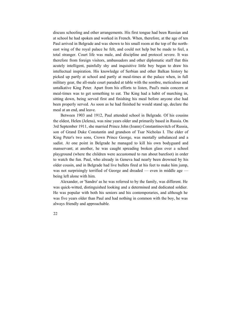discuss schooling and other arrangements. His first tongue had been Russian and at school he had spoken and worked in French. When, therefore, at the age of ten Paul arrived in Belgrade and was shown to his small room at the top of the northeast wing of the royal palace he felt, and could not help but be made to feel, a total stranger. Court life was male, and discipline and protocol severe. It was therefore from foreign visitors, ambassadors and other diplomatic staff that this acutely intelligent, painfully shy and inquisitive little boy began to draw his intellectual inspiration. His knowledge of Serbian and other Balkan history he picked up partly at school and partly at meal-times at the palace when, in full military gear, the all-male court paraded at table with the sombre, meticulous and untalkative King Peter. Apart from his efforts to listen, Paul's main concern at meal-times was to get something to eat. The King had a habit of marching in, sitting down, being served first and finishing his meal before anyone else had been properly served. As soon as he had finished he would stand up, declare the meal at an end, and leave.

Between 1903 and 1912, Paul attended school in Belgrade. Of his cousins the eldest, Helen (Jelena), was nine years older and primarily based in Russia. On 3rd September 1911, she married Prince John (Ioann) Constantinovitch of Russia, son of Grand Duke Constantin and grandson of Tsar Nicholas I. The elder of King Peter's two sons, Crown Prince George, was mentally unbalanced and a sadist. At one point in Belgrade he managed to kill his own bodyguard and manservant; at another, he was caught spreading broken glass over a school playground (where the children were accustomed to run about barefoot) in order to watch the fun. Paul, who already in Geneva had nearly been drowned by his older cousin, and in Belgrade had live bullets fired at his feet to make him jump, was not surprisingly terrified of George and dreaded — even in middle age being left alone with him.

Alexander, or 'Sandro' as he was referred to by the family, was different. He was quick-witted, distinguished looking and a determined and dedicated soldier. He was popular with both his seniors and his contemporaries, and although he was five years older than Paul and had nothing in common with the boy, he was always friendly and approachable.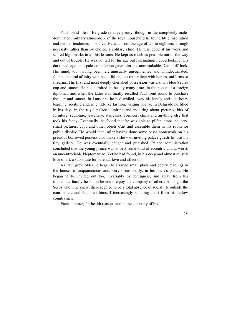Paul found life in Belgrade relatively easy, though in the completely maledominated, military atmosphere of the royal household he found little inspiration and neither tenderness nor love. He was from the age of ten to eighteen, through necessity rather than by choice, a solitary child. He was good at his work and scored high marks in all his lessons. He kept as much as possible out of the way and out of trouble. He was not tall for his age but fascinatingly good looking. His dark, sad eyes and pale complexion gave him the unmistakable Demidoff look. His mind, too, having been left unusually unregimented and unindoctrinated, found a natural affinity with beautiful objects rather than with horses, uniforms or firearms. His first and most deeply cherished possession was a small blue Sevres cup and saucer. He had admired its beauty many times in the house of a foreign diplomat, and when the latter was finally recalled Paul went round to purchase the cup and saucer. In Lausanne he had whiled away his lonely and idle hours learning, reciting and, in child-like fashion, writing poetry. In Belgrade he filled in his days in the royal palace admiring and inquiring about pictures, bits of furniture, sculpture, jewellery, staircases, cornices, china and anything else that took his fancy. Eventually, he found that he was able to pilfer lamps, saucers, small pictures, cups and other objets d'art and assemble them in his room for public display. He would then, after having done some basic homework on his precious borrowed possessions, make a show of inviting palace guests to visit his tiny gallery. He was eventually caught and punished. Palace administration concluded that the young prince was at best some kind of eccentric and at worst, an uncontrollable kleptomaniac. Yet he had found, in his deep and almost sensual love of art, a substitute for parental love and affection.

As Paul grew older he began to arrange small plays and poetry readings in the houses of acquaintances and, very occasionally, in his uncle's palace. He began to be invited out too, invariably by foreigners, and away from his immediate family he found he could enjoy the company of others. Amongst the Serbs whom he knew, there seemed to be a total absence of social life outside the court circle and Paul felt himself increasingly standing apart from his fellow countrymen.

Each summer, for health reasons and in the company of his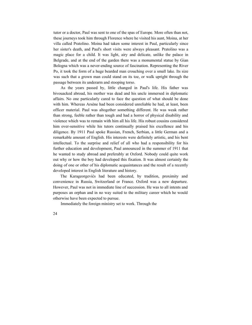tutor or a doctor, Paul was sent to one of the spas of Europe. More often than not, these journeys took him through Florence where he visited his aunt, Moina, at her villa called Pratolino. Moina had taken some interest in Paul, particularly since her sister's death, and Paul's short visits were always pleasant. Pratolino was a magic place for a child. It was light, airy and delicate, unlike the palace in Belgrade, and at the end of the garden there was a monumental statue by Gian Bologna which was a never-ending source of fascination. Representing the River Po, it took the form of a huge bearded man crouching over a small lake. Its size was such that a grown man could stand on its toe, or walk upright through the passage between its underarm and stooping torso.

As the years passed by, little changed in Paul's life. His father was bivouacked abroad, his mother was dead and his uncle immersed in diplomatic affairs. No one particularly cared to face the question of what should be done with him. Whereas Arsène had been considered unreliable he had, at least, been officer material. Paul was altogether something different. He was weak rather than strong, feeble rather than tough and had a horror of physical disability and violence which was to remain with him all his life. His robust cousins considered him over-sensitive while his tutors continually praised his excellence and his diligence. By 1911 Paul spoke Russian, French, Serbian, a little German and a remarkable amount of English. His interests were definitely artistic, and his bent intellectual. To the surprise and relief of all who had a responsibility for his further education and development, Paul announced in the summer of 1911 that he wanted to study abroad and preferably at Oxford. Nobody could quite work out why or how the boy had developed this fixation. It was almost certainly the doing of one or other of his diplomatic acquaintances and the result of a recently developed interest in English literature and history.

The Karageorgevićs had been educated, by tradition, proximity and convenience in Russia, Switzerland or France. Oxford was a new departure. However, Paul was not in immediate line of succession. He was to all intents and purposes an orphan and in no way suited to the military career which he would otherwise have been expected to pursue.

Immediately the foreign ministry set to work. Through the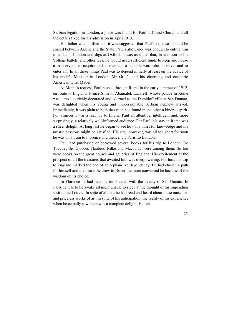Serbian legation in London, a place was found for Paul at Christ Church and all the details fixed for his admission in April 1913.

His father was notified and it was suggested that Paul's expenses should be shared between Arsène and the State. Paul's allowance was enough to entitle him to a flat in London and digs at Oxford. It was assumed that, in addition to his 'college battels' and other fees, he would need sufficient funds to keep and house a manservant, to acquire and to maintain a suitable wardrobe, to travel and to entertain. In all these things Paul was to depend initially at least on the advice of his uncle's Minister in London, Mr Gruić, and his charming and eccentric American wife, Mabel.

At Moina's request, Paul passed through Rome in the early summer of 1912, en route to England. Prince Simeon Abamalek Lazareff, whose palace in Rome was almost as richly decorated and adorned as the Demidoff villa at San Donato, was delighted when his young and impressionable Serbian nephew arrived. Immediately, it was plain to both that each had found in the other a kindred spirit. For Simeon it was a real joy to find in Paul an attentive, intelligent and, more surprisingly, a relatively well-informed audience. For Paul, his stay in Rome was a sheer delight. At long last he began to see how his thirst for knowledge and his artistic passions might be satisfied. His stay, however, was all too short for soon he was on a train to Florence and thence, via Paris, to London.

Paul had purchased or borrowed several books for his trip to London. De Tocqueville, Gibbon, Flaubert, Rilke and Macaulay were among them. So too were books on the great houses and galleries of England. His excitement at the prospect of all the treasures that awaited him was overpowering. For him, his trip to England marked the end of an orphan-like dependency. He had chosen a path for himself and the nearer he drew to Dover the more convinced he became of the wisdom of his choice.

In Florence he had become intoxicated with the beauty of San Donato. In Paris he was to lie awake all night unable to sleep at the thought of his impending visit to the Louvre. In spite of all that he had read and heard about these museums and priceless works of art, in spite of his anticipation, the reality of his experience when he actually saw them was a complete delight. He felt